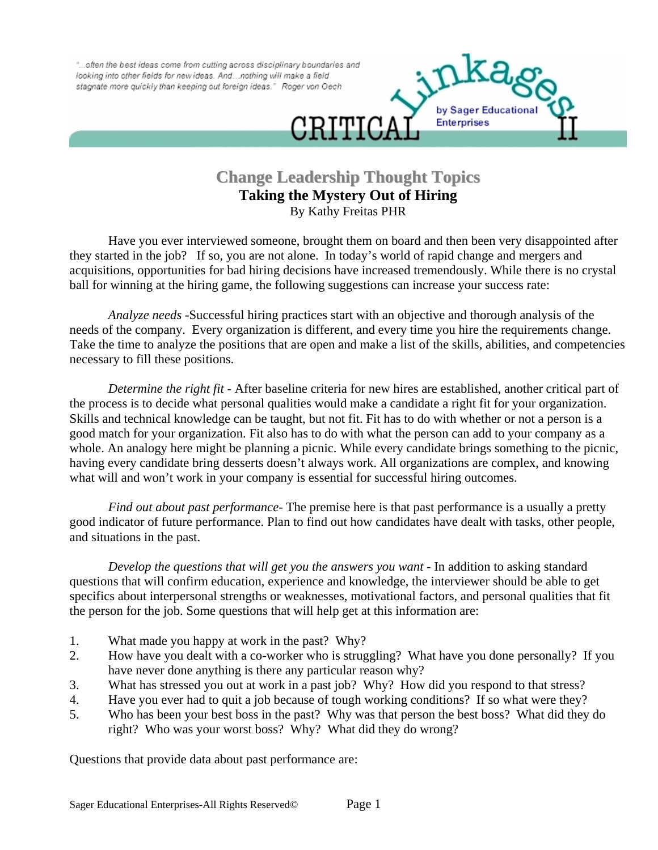"... often the best ideas come from cutting across disciplinary boundaries and looking into other fields for new ideas. And ... nothing will make a field stagnate more quickly than keeping out foreign ideas." Roger von Oech



## **Change Leadership Thought Topics Taking the Mystery Out of Hiring**  By Kathy Freitas PHR

Have you ever interviewed someone, brought them on board and then been very disappointed after they started in the job? If so, you are not alone. In today's world of rapid change and mergers and acquisitions, opportunities for bad hiring decisions have increased tremendously. While there is no crystal ball for winning at the hiring game, the following suggestions can increase your success rate:

 *Analyze needs* -Successful hiring practices start with an objective and thorough analysis of the needs of the company. Every organization is different, and every time you hire the requirements change. Take the time to analyze the positions that are open and make a list of the skills, abilities, and competencies necessary to fill these positions.

*Determine the right fit* - After baseline criteria for new hires are established, another critical part of the process is to decide what personal qualities would make a candidate a right fit for your organization. Skills and technical knowledge can be taught, but not fit. Fit has to do with whether or not a person is a good match for your organization. Fit also has to do with what the person can add to your company as a whole. An analogy here might be planning a picnic. While every candidate brings something to the picnic, having every candidate bring desserts doesn't always work. All organizations are complex, and knowing what will and won't work in your company is essential for successful hiring outcomes.

*Find out about past performance*- The premise here is that past performance is a usually a pretty good indicator of future performance. Plan to find out how candidates have dealt with tasks, other people, and situations in the past.

*Develop the questions that will get you the answers you want* - In addition to asking standard questions that will confirm education, experience and knowledge, the interviewer should be able to get specifics about interpersonal strengths or weaknesses, motivational factors, and personal qualities that fit the person for the job. Some questions that will help get at this information are:

- 1. What made you happy at work in the past? Why?
- 2. How have you dealt with a co-worker who is struggling? What have you done personally? If you have never done anything is there any particular reason why?
- 3. What has stressed you out at work in a past job? Why? How did you respond to that stress?
- 4. Have you ever had to quit a job because of tough working conditions? If so what were they?
- 5. Who has been your best boss in the past? Why was that person the best boss? What did they do right? Who was your worst boss? Why? What did they do wrong?

Questions that provide data about past performance are: